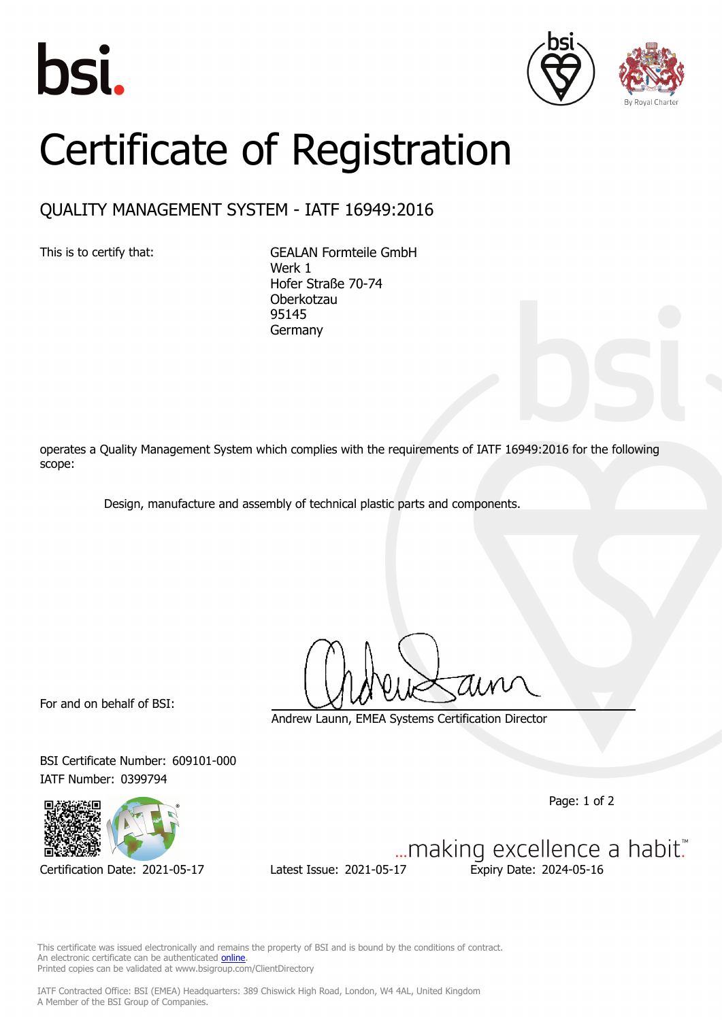





## Certificate of Registration

## QUALITY MANAGEMENT SYSTEM - IATF 16949:2016

This is to certify that: GEALAN Formteile GmbH Werk 1 Hofer Straße 70-74 Oberkotzau 95145 Germany

operates a Quality Management System which complies with the requirements of IATF 16949:2016 for the following scope:

Design, manufacture and assembly of technical plastic parts and components.

For and on behalf of BSI:

Andrew Launn, EMEA Systems Certification Director

BSI Certificate Number: 609101-000 IATF Number: 0399794

Page: 1 of 2



Certification Date: 2021-05-17 Latest Issue: 2021-05-17 Expiry Date: 2024-05-16

... making excellence a habit."

This certificate was issued electronically and remains the property of BSI and is bound by the conditions of contract. An electronic certificate can be authenticated **[online](https://pgplus.bsigroup.com/CertificateValidation/CertificateValidator.aspx?CertificateNumber=TS+609101-000&ReIssueDate=17%2f05%2f2021&Template=cemea_en)** Printed copies can be validated at www.bsigroup.com/ClientDirectory

IATF Contracted Office: BSI (EMEA) Headquarters: 389 Chiswick High Road, London, W4 4AL, United Kingdom A Member of the BSI Group of Companies.